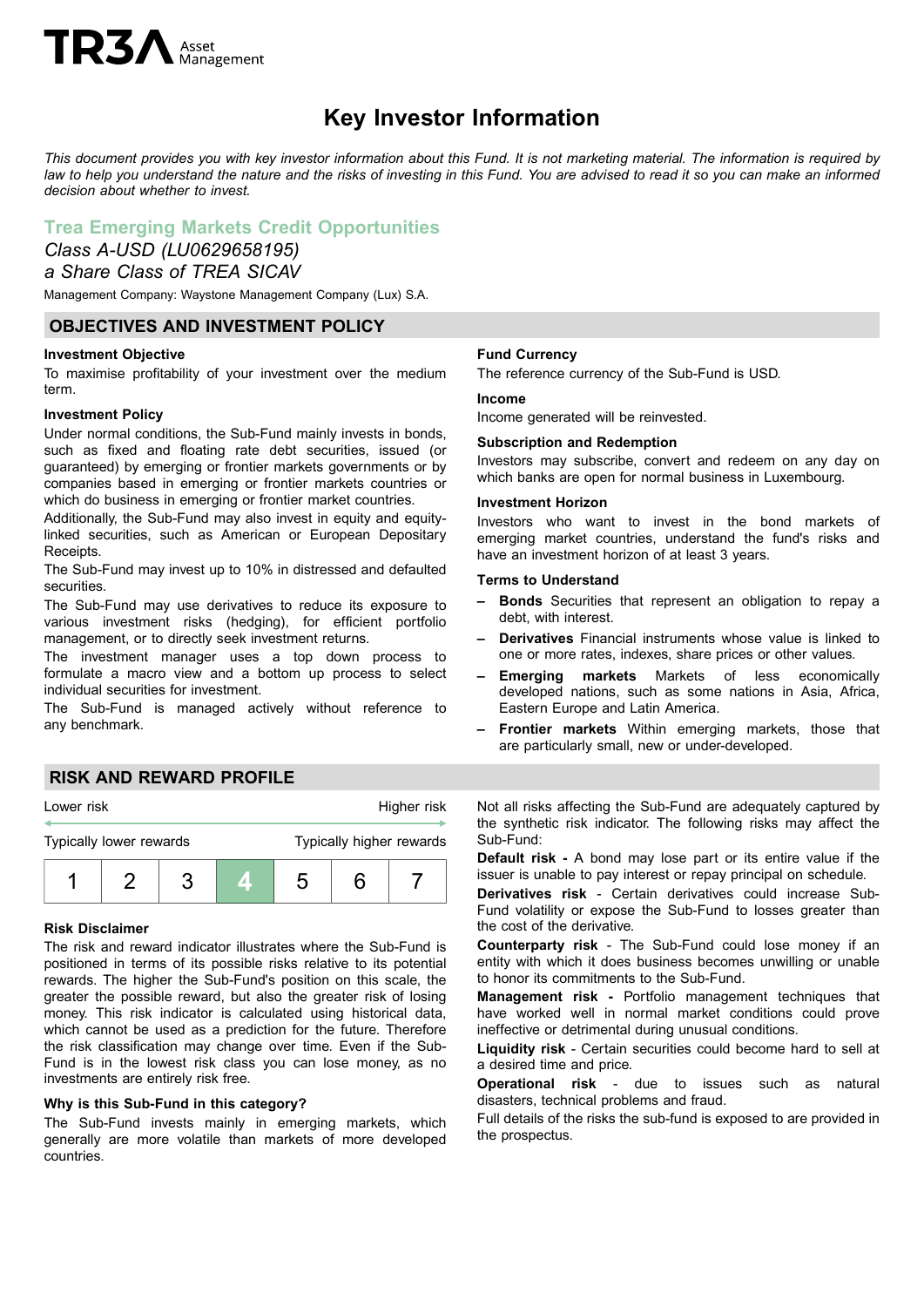# **TR3** Asset

## **Key Investor Information**

This document provides you with key investor information about this Fund. It is not marketing material. The information is required by law to help you understand the nature and the risks of investing in this Fund. You are advised to read it so you can make an informed *decision about whether to invest.*

### **Trea Emerging Markets Credit Opportunities**

#### *Class A-USD (LU0629658195) a Share Class of TREA SICAV*

Management Company: Waystone Management Company (Lux) S.A.

#### **OBJECTIVES AND INVESTMENT POLICY**

#### **Investment Objective**

To maximise profitability of your investment over the medium term.

#### **Investment Policy**

Under normal conditions, the Sub-Fund mainly invests in bonds, such as fixed and floating rate debt securities, issued (or guaranteed) by emerging or frontier markets governments or by companies based in emerging or frontier markets countries or which do business in emerging or frontier market countries.

Additionally, the Sub-Fund may also invest in equity and equitylinked securities, such as American or European Depositary Receipts.

The Sub-Fund may invest up to 10% in distressed and defaulted securities.

The Sub-Fund may use derivatives to reduce its exposure to various investment risks (hedging), for efficient portfolio management, or to directly seek investment returns.

The investment manager uses a top down process to formulate a macro view and a bottom up process to select individual securities for investment.

The Sub-Fund is managed actively without reference to any benchmark.

#### **Fund Currency**

The reference currency of the Sub-Fund is USD.

#### **Income**

Income generated will be reinvested.

#### **Subscription and Redemption**

Investors may subscribe, convert and redeem on any day on which banks are open for normal business in Luxembourg.

#### **Investment Horizon**

Investors who want to invest in the bond markets of emerging market countries, understand the fund's risks and have an investment horizon of at least 3 years.

#### **Terms to Understand**

- **– Bonds** Securities that represent an obligation to repay a debt, with interest.
- **– Derivatives** Financial instruments whose value is linked to one or more rates, indexes, share prices or other values.
- **– Emerging markets** Markets of less economically developed nations, such as some nations in Asia, Africa, Eastern Europe and Latin America.
- **– Frontier markets** Within emerging markets, those that are particularly small, new or under-developed.

#### **RISK AND REWARD PROFILE**



#### **Risk Disclaimer**

The risk and reward indicator illustrates where the Sub-Fund is positioned in terms of its possible risks relative to its potential rewards. The higher the Sub-Fund's position on this scale, the greater the possible reward, but also the greater risk of losing money. This risk indicator is calculated using historical data, which cannot be used as a prediction for the future. Therefore the risk classification may change over time. Even if the Sub-Fund is in the lowest risk class you can lose money, as no investments are entirely risk free.

#### **Why is this Sub-Fund in this category?**

The Sub-Fund invests mainly in emerging markets, which generally are more volatile than markets of more developed countries.

Not all risks affecting the Sub-Fund are adequately captured by the synthetic risk indicator. The following risks may affect the Sub-Fund:

**Default risk -** A bond may lose part or its entire value if the issuer is unable to pay interest or repay principal on schedule.

**Derivatives risk** - Certain derivatives could increase Sub-Fund volatility or expose the Sub-Fund to losses greater than the cost of the derivative.

**Counterparty risk** - The Sub-Fund could lose money if an entity with which it does business becomes unwilling or unable to honor its commitments to the Sub-Fund.

**Management risk -** Portfolio management techniques that have worked well in normal market conditions could prove ineffective or detrimental during unusual conditions.

**Liquidity risk** - Certain securities could become hard to sell at a desired time and price.

**Operational risk** - due to issues such as natural disasters, technical problems and fraud.

Full details of the risks the sub-fund is exposed to are provided in the prospectus.